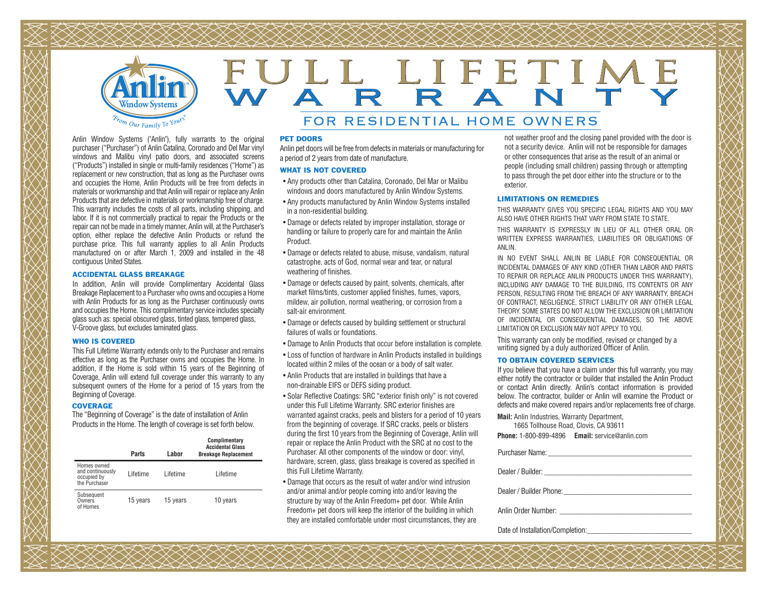

# FULL LIFETIME

# FOR RESIDENTIAL HOME OWNERS

Anlin Window Systems ("Anlin"), fully warrants to the original purchaser ("Purchaser") of Anlin Catalina, Coronado and Del Mar vinyl windows and Malibu vinyl patio doors, and associated screens ("Products") installed in single or multi-family residences ("Home") as replacement or new construction, that as long as the Purchaser owns and occupies the Home, Anlin Products will be free from defects in materials or workmanship and that Anlin will repair or replace any Anlin Products that are defective in materials or workmanship free of charge. This warranty includes the costs of all parts, including shipping, and labor. If it is not commercially practical to repair the Products or the repair can not be made in a timely manner, Anlin will, at the Purchaser's option, either replace the defective Anlin Products or refund the purchase price. This full warranty applies to all Anlin Products manufactured on or after March 1, 2009 and installed in the 48 contiguous United States.

#### ACCIDENTAL GLASS BREAKAGE

In addition, Anlin will provide Complimentary Accidental Glass Breakage Replacement to a Purchaser who owns and occupies a Home with Anlin Products for as long as the Purchaser continuously owns and occupies the Home. This complimentary service includes specialty glass such as: special obscured glass, tinted glass, tempered glass, V-Groove glass, but excludes laminated glass.

#### WHO IS COVERED

This Full Lifetime Warranty extends only to the Purchaser and remains effective as long as the Purchaser owns and occupies the Home. In addition, if the Home is sold within 15 years of the Beginning of Coverage, Anlin will extend full coverage under this warranty to any subsequent owners of the Home for a period of 15 years from the Beginning of Coverage.

#### **COVERAGE**

 The "Beginning of Coverage" is the date of installation of Anlin Products in the Home. The length of coverage is set forth below.

|                                                                 | Parts    | Labor    | Complimentary<br><b>Accidental Glass</b><br><b>Breakage Replacement</b> |
|-----------------------------------------------------------------|----------|----------|-------------------------------------------------------------------------|
| Homes owned<br>and continuously<br>occupied by<br>the Purchaser | Lifetime | Lifetime | Lifetime                                                                |
| Subsequent<br>Owners<br>of Homes                                | 15 years | 15 years | 10 years                                                                |

#### PET DOORS

Anlin pet doors will be free from defects in materials or manufacturing for a period of 2 years from date of manufacture.

#### WHAT IS NOT COVERED

- Any products other than Catalina, Coronado, Del Mar or Malibu windows and doors manufactured by Anlin Window Systems.
- Any products manufactured by Anlin Window Systems installed in a non-residential building.
- Damage or defects related by improper installation, storage or handling or failure to properly care for and maintain the Anlin Product.
- Damage or defects related to abuse, misuse, vandalism, natural catastrophe, acts of God, normal wear and tear, or natural weathering of finishes.
- Damage or defects caused by paint, solvents, chemicals, after market films/tints, customer applied finishes, fumes, vapors, mildew, air pollution, normal weathering, or corrosion from a salt-air environment.
- Damage or defects caused by building settlement or structural failures of walls or foundations.
- Damage to Anlin Products that occur before installation is complete.
- Loss of function of hardware in Anlin Products installed in buildings located within 2 miles of the ocean or a body of salt water.
- Anlin Products that are installed in buildings that have a non-drainable EIFS or DEFS siding product.
- Solar Reflective Coatings: SRC "exterior finish only" is not covered under this Full Lifetime Warranty. SRC exterior finishes are warranted against cracks, peels and blisters for a period of 10 years from the beginning of coverage. If SRC cracks, peels or blisters during the first 10 years from the Beginning of Coverage, Anlin will repair or replace the Anlin Product with the SRC at no cost to the Purchaser. All other components of the window or door: vinyl, hardware, screen, glass, glass breakage is covered as specified in this Full Lifetime Warranty.
- Damage that occurs as the result of water and/or wind intrusion and/or animal and/or people coming into and/or leaving the structure by way of the Anlin Freedom+ pet door. While Anlin Freedom+ pet doors will keep the interior of the building in which they are installed comfortable under most circumstances, they are

not weather proof and the closing panel provided with the door is not a security device. Anlin will not be responsible for damages or other consequences that arise as the result of an animal or people (including small children) passing through or attempting to pass through the pet door either into the structure or to the exterior.

#### LIMITATIONS ON REMEDIES

THIS WARRANTY GIVES YOU SPECIFIC LEGAL RIGHTS AND YOU MAY ALSO HAVE OTHER RIGHTS THAT VARY FROM STATE TO STATE.

THIS WARRANTY IS EXPRESSLY IN LIEU OF ALL OTHER ORAL OR WRITTEN EXPRESS WARRANTIES, LIABILITIES OR OBLIGATIONS OF ANLIN.

IN NO EVENT SHALL ANLIN BE LIABLE FOR CONSEQUENTIAL OR INCIDENTAL DAMAGES OF ANY KIND (OTHER THAN LABOR AND PARTS TO REPAIR OR REPLACE ANLIN PRODUCTS UNDER THIS WARRANTY), INCLUDING ANY DAMAGE TO THE BUILDING, ITS CONTENTS OR ANY PERSON, RESULTING FROM THE BREACH OF ANY WARRANTY, BREACH OF CONTRACT, NEGLIGENCE, STRICT LIABILITY OR ANY OTHER LEGAL THEORY. SOME STATES DO NOT ALLOW THE EXCLUSION OR LIMITATION OF INCIDENTAL OR CONSEQUENTIAL DAMAGES, SO THE ABOVE LIMITATION OR EXCLUSION MAY NOT APPLY TO YOU.

This warranty can only be modified, revised or changed by a writing signed by a duly authorized Officer of Anlin.

#### TO OBTAIN COVERED SERVICES

If you believe that you have a claim under this full warranty, you may either notify the contractor or builder that installed the Anlin Product or contact Anlin directly. Anlin's contact information is provided below. The contractor, builder or Anlin will examine the Product or defects and make covered repairs and/or replacements free of charge.

**Mail:** Anlin Industries, Warranty Department,

 1665 Tollhouse Road, Clovis, CA 93611 **Phone:** 1-800-899-4896 **Email:** service@anlin.com

Purchaser Name: \_\_\_\_\_\_\_\_\_\_\_\_\_\_\_\_\_\_\_\_\_\_\_\_\_\_\_\_\_\_\_\_\_\_\_\_\_ Dealer / Builder: \_\_\_\_\_\_\_\_\_\_\_\_\_\_\_\_\_\_\_\_\_\_\_\_\_\_\_\_\_\_\_\_\_\_\_\_\_\_ Dealer / Builder Phone:Anlin Order Number: \_\_\_\_\_\_\_\_\_\_\_\_\_\_\_\_\_\_\_\_\_\_\_\_\_\_\_\_\_\_\_\_\_\_